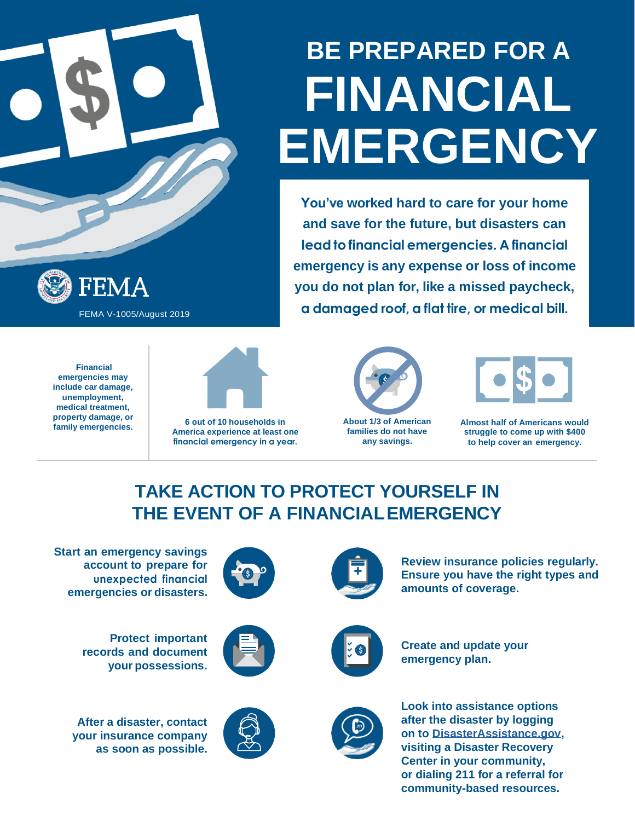# **BE PREPARED FOR A FINANCIAL EMERGENCY**

**You've worked hard to care for your home and save for the future, but disasters can lead to financial emergencies. A financial emergency is any expense or loss of income you do not plan for, like a missed paycheck,**  FEMA V-1005/August 2019 **a damaged roof, a flat tire, or medical bill.** 



**Financial emergencies may include car damage, unemployment, medical treatment, property damage, or** 



**family emergencies. 6 out of 10 households in America experience at least one financial emergency in a year.**



**About 1/3 of American families do not have any savings.**



**Almost half of Americans would struggle to come up with \$400 to help cover an emergency.**

### **TAKE ACTION TO PROTECT YOURSELF IN THE EVENT OF A FINANCIAL EMERGENCY**

**Start an emergency savings account to prepare for unexpected financial emergencies or disasters.**

**Protect important records and document**

**your possessions.**



**After a disaster, contact your insurance company as soon as possible.**





**Review insurance policies regularly. Ensure you have the right types and amounts of coverage.**



**Create and update your emergency plan.**



**Look into assistance options after the disaster by logging on to [DisasterAssistance.gov,](https://www.disasterassistance.gov/) visiting a Disaster Recovery Center in your community, or dialing 211 for a referral for community-based resources.**